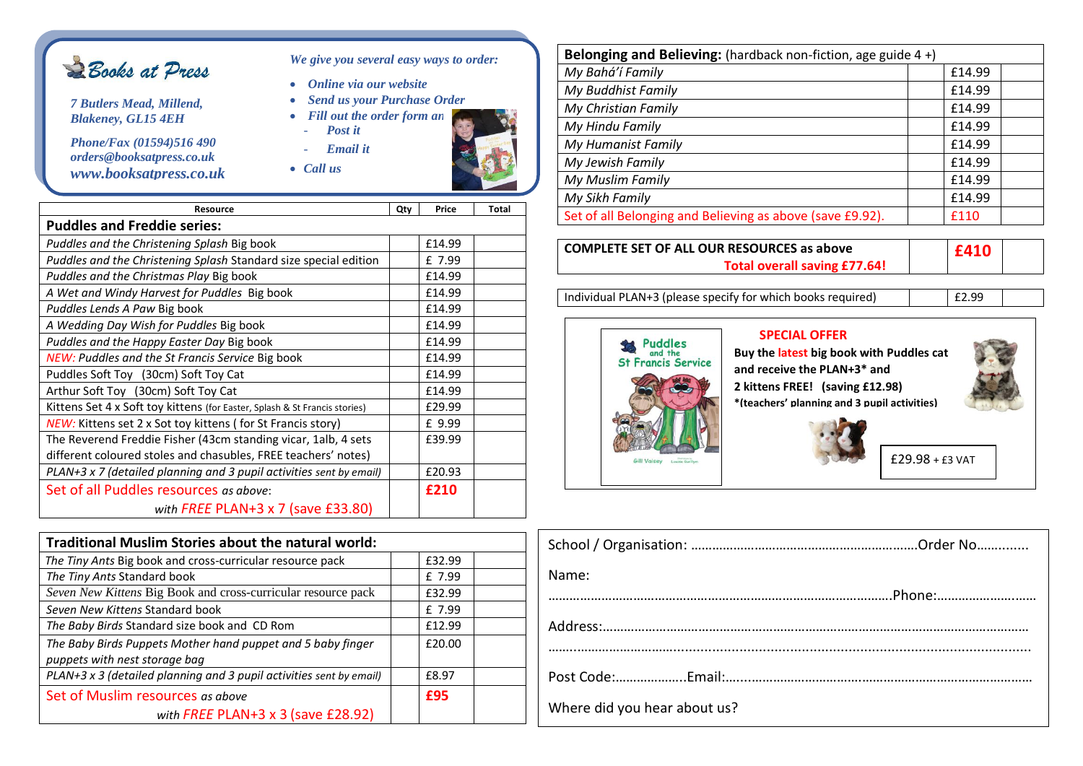

*7 Butlers Mead, Millend, Blakeney, GL15 4EH*

*Phone/Fax (01594)516 490 orders@booksatpress.co.uk www.booksatpress.co.uk*

- *Send us your Purchase Order* • *Fill out the order form an* 
	- *Post it* - *Email it*

• *Online via our website*

*We give you several easy ways to order:*

• *Call us* •



| <b>Resource</b>                                                            | Qty | Price  | Total |
|----------------------------------------------------------------------------|-----|--------|-------|
| <b>Puddles and Freddie series:</b>                                         |     |        |       |
| Puddles and the Christening Splash Big book                                |     | £14.99 |       |
| Puddles and the Christening Splash Standard size special edition           |     | £ 7.99 |       |
| Puddles and the Christmas Play Big book                                    |     | £14.99 |       |
| A Wet and Windy Harvest for Puddles Big book                               |     | £14.99 |       |
| Puddles Lends A Paw Big book                                               |     | £14.99 |       |
| A Wedding Day Wish for Puddles Big book                                    |     | £14.99 |       |
| Puddles and the Happy Easter Day Big book                                  |     | £14.99 |       |
| <b>NEW: Puddles and the St Francis Service Big book</b>                    |     | £14.99 |       |
| Puddles Soft Toy (30cm) Soft Toy Cat                                       |     | £14.99 |       |
| Arthur Soft Toy (30cm) Soft Toy Cat                                        |     | £14.99 |       |
| Kittens Set 4 x Soft toy kittens (for Easter, Splash & St Francis stories) |     | £29.99 |       |
| <b>NEW:</b> Kittens set 2 x Sot toy kittens (for St Francis story)         |     | £ 9.99 |       |
| The Reverend Freddie Fisher (43cm standing vicar, 1alb, 4 sets             |     | £39.99 |       |
| different coloured stoles and chasubles, FREE teachers' notes)             |     |        |       |
| PLAN+3 x 7 (detailed planning and 3 pupil activities sent by email)        |     | £20.93 |       |
| Set of all Puddles resources as above:                                     |     | £210   |       |
| with FREE PLAN+3 x 7 (save £33.80)                                         |     |        |       |

| Traditional Muslim Stories about the natural world:                                          |        |
|----------------------------------------------------------------------------------------------|--------|
| The Tiny Ants Big book and cross-curricular resource pack                                    | £32.99 |
| The Tiny Ants Standard book                                                                  | £ 7.99 |
| Seven New Kittens Big Book and cross-curricular resource pack                                | £32.99 |
| Seven New Kittens Standard book                                                              | £ 7.99 |
| The Baby Birds Standard size book and CD Rom                                                 | £12.99 |
| The Baby Birds Puppets Mother hand puppet and 5 baby finger<br>puppets with nest storage bag | £20.00 |
| PLAN+3 x 3 (detailed planning and 3 pupil activities sent by email)                          | £8.97  |
| Set of Muslim resources as above                                                             | £95    |
| with FREE PLAN+3 $\times$ 3 (save £28.92)                                                    |        |

| Belonging and Believing: (hardback non-fiction, age guide 4+) |        |  |  |
|---------------------------------------------------------------|--------|--|--|
| My Bahá'í Family                                              | £14.99 |  |  |
| My Buddhist Family                                            | £14.99 |  |  |
| My Christian Family                                           | £14.99 |  |  |
| My Hindu Family                                               | £14.99 |  |  |
| My Humanist Family                                            | £14.99 |  |  |
| My Jewish Family                                              | £14.99 |  |  |
| My Muslim Family                                              | £14.99 |  |  |
| My Sikh Family                                                | £14.99 |  |  |
| Set of all Belonging and Believing as above (save £9.92).     | £110   |  |  |

| <b>COMPLETE SET OF ALL OUR RESOURCES as above</b> | FA10 |  |
|---------------------------------------------------|------|--|
| <b>Total overall saving £77.64!</b>               |      |  |

Individual PLAN+3 (please specify for which books required) E2.99



| Name:<br>.Phone:             |  |
|------------------------------|--|
|                              |  |
|                              |  |
|                              |  |
| Where did you hear about us? |  |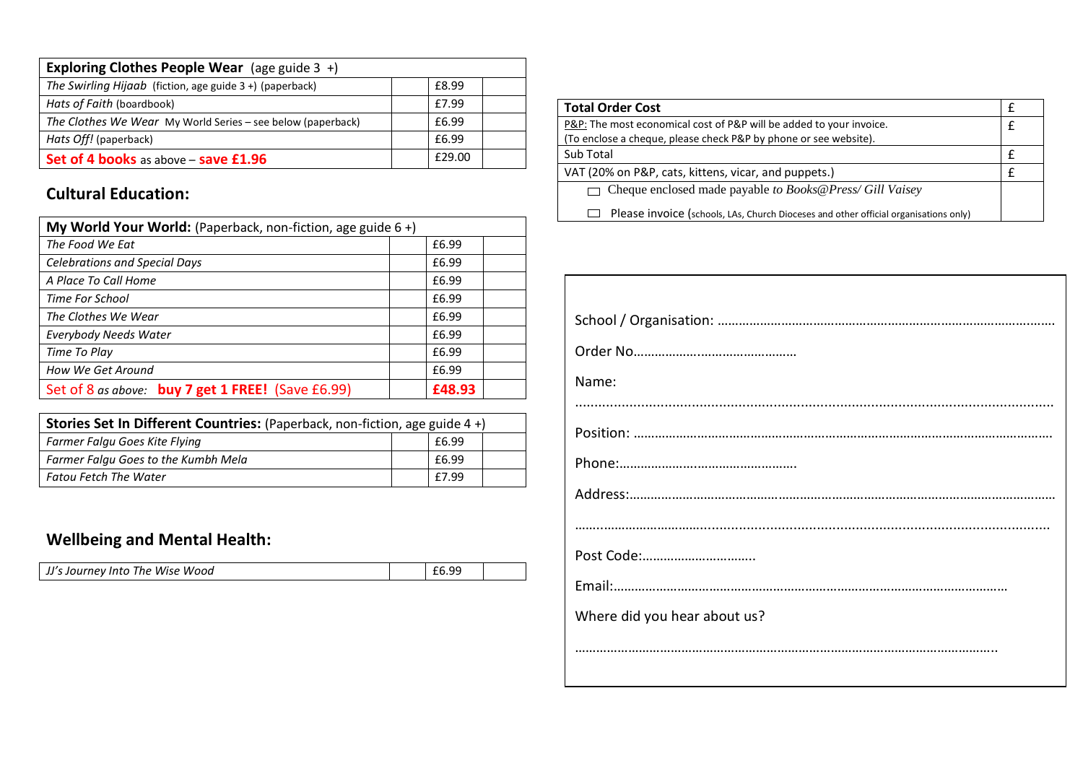| <b>Exploring Clothes People Wear</b> (age guide $3 +$ )     |        |  |
|-------------------------------------------------------------|--------|--|
| The Swirling Hijaab (fiction, age guide 3 +) (paperback)    | £8.99  |  |
| Hats of Faith (boardbook)                                   | £7.99  |  |
| The Clothes We Wear My World Series - see below (paperback) | £6.99  |  |
| Hats Off! (paperback)                                       | £6.99  |  |
| Set of 4 books as above - save £1.96                        | £29.00 |  |

## **Cultural Education:**

| My World Your World: (Paperback, non-fiction, age guide 6+) |        |  |  |
|-------------------------------------------------------------|--------|--|--|
| The Food We Eat                                             | £6.99  |  |  |
| <b>Celebrations and Special Days</b>                        | £6.99  |  |  |
| A Place To Call Home                                        | £6.99  |  |  |
| <b>Time For School</b>                                      | £6.99  |  |  |
| The Clothes We Wear                                         | £6.99  |  |  |
| <b>Everybody Needs Water</b>                                | £6.99  |  |  |
| Time To Play                                                | £6.99  |  |  |
| How We Get Around                                           | £6.99  |  |  |
| Set of 8 as above: buy 7 get 1 FREE! (Save £6.99)           | £48.93 |  |  |

| Stories Set In Different Countries: (Paperback, non-fiction, age guide 4+) |  |       |  |
|----------------------------------------------------------------------------|--|-------|--|
| Farmer Falgu Goes Kite Flying                                              |  | £6.99 |  |
| Farmer Falgu Goes to the Kumbh Mela                                        |  | £6.99 |  |
| Fatou Fetch The Water                                                      |  | £7.99 |  |

## **Wellbeing and Mental Health:**

| JJ's Journey Into The Wise Wood | £6.99 |  |
|---------------------------------|-------|--|

| <b>Total Order Cost</b>                                                              |  |
|--------------------------------------------------------------------------------------|--|
| P&P: The most economical cost of P&P will be added to your invoice.                  |  |
| (To enclose a cheque, please check P&P by phone or see website).                     |  |
| Sub Total                                                                            |  |
| VAT (20% on P&P, cats, kittens, vicar, and puppets.)                                 |  |
| $\Box$ Cheque enclosed made payable to Books@Press/Gill Vaisey                       |  |
| Please invoice (schools, LAs, Church Dioceses and other official organisations only) |  |

| Name:                        |
|------------------------------|
|                              |
|                              |
|                              |
|                              |
|                              |
| Post Code:                   |
|                              |
| Where did you hear about us? |
|                              |
|                              |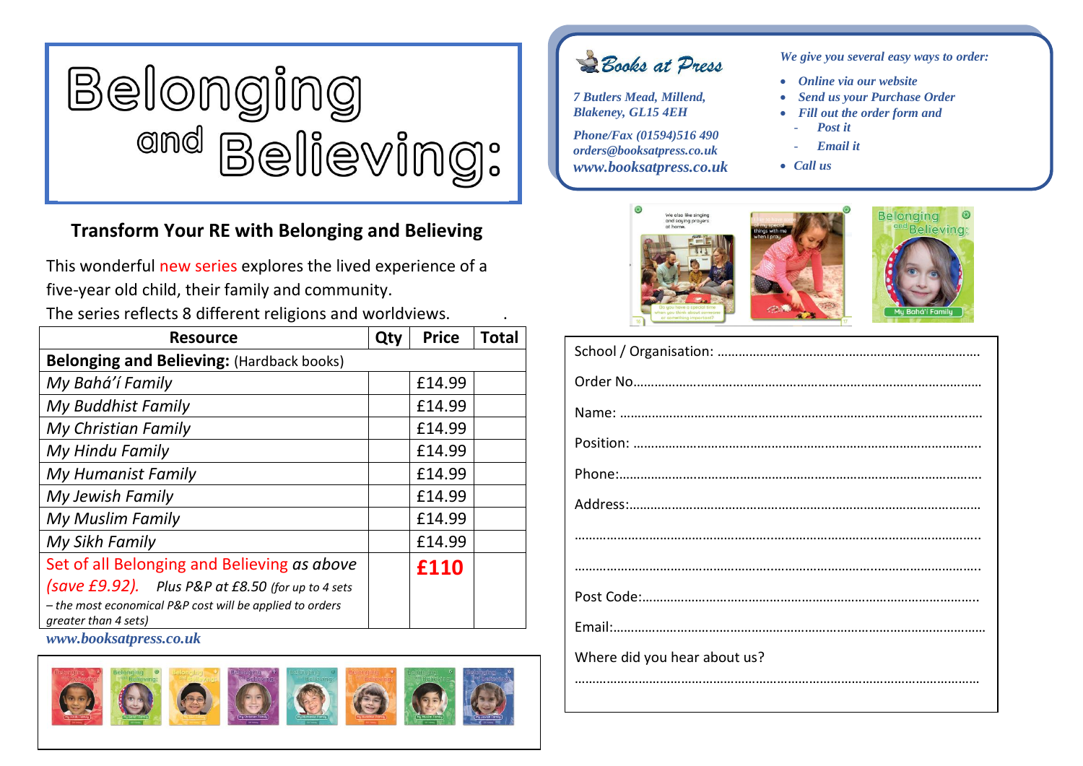

## **Transform Your RE with Belonging and Believing**

This wonderful new series explores the lived experience of a five-year old child, their family and community.

The series reflects 8 different religions and worldviews. .

| <b>Resource</b>                                                                  | Qty | <b>Price</b> | <b>Total</b> |
|----------------------------------------------------------------------------------|-----|--------------|--------------|
| <b>Belonging and Believing: (Hardback books)</b>                                 |     |              |              |
| My Bahá'í Family                                                                 |     | £14.99       |              |
| My Buddhist Family                                                               |     | £14.99       |              |
| My Christian Family                                                              |     | £14.99       |              |
| My Hindu Family                                                                  |     | £14.99       |              |
| My Humanist Family                                                               |     | £14.99       |              |
| My Jewish Family                                                                 |     | £14.99       |              |
| My Muslim Family                                                                 |     | £14.99       |              |
| My Sikh Family                                                                   |     | £14.99       |              |
| Set of all Belonging and Believing as above                                      |     | £110         |              |
| (save £9.92). Plus P&P at £8.50 (for up to 4 sets                                |     |              |              |
| - the most economical P&P cost will be applied to orders<br>greater than 4 sets) |     |              |              |

*www.booksatpress.co.uk*



Books at Press

*7 Butlers Mead, Millend, Blakeney, GL15 4EH*

*Phone/Fax (01594)516 490 orders@booksatpress.co.uk www.booksatpress.co.uk* *We give you several easy ways to order:*

- *Online via our website*
- *Send us your Purchase Order*
- *Fill out the order form and* 
	- *Post it*
	- *Email it*
- *Call us*



| Where did you hear about us? |
|------------------------------|
|                              |